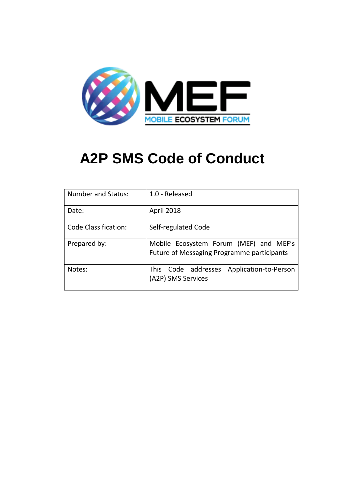

| <b>Number and Status:</b> | 1.0 - Released                                                                                              |  |  |
|---------------------------|-------------------------------------------------------------------------------------------------------------|--|--|
| Date:                     | <b>April 2018</b>                                                                                           |  |  |
| Code Classification:      | Self-regulated Code<br>Mobile Ecosystem Forum (MEF) and MEF's<br>Future of Messaging Programme participants |  |  |
| Prepared by:              |                                                                                                             |  |  |
| Notes:                    | This Code addresses<br>Application-to-Person<br>(A2P) SMS Services                                          |  |  |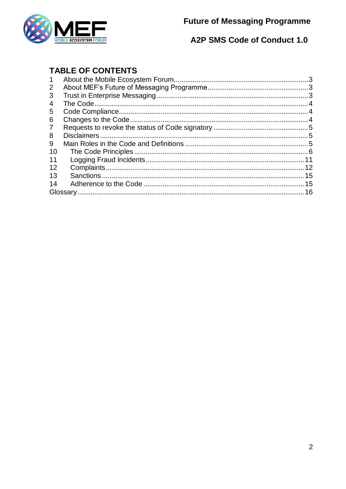



# **TABLE OF CONTENTS**

| $\mathbf 1$ |  |
|-------------|--|
| 2           |  |
| 3           |  |
| 4           |  |
| 5           |  |
| 6           |  |
| 7           |  |
| 8           |  |
| 9           |  |
| 10          |  |
| 11          |  |
| 12          |  |
| 13          |  |
| 14          |  |
|             |  |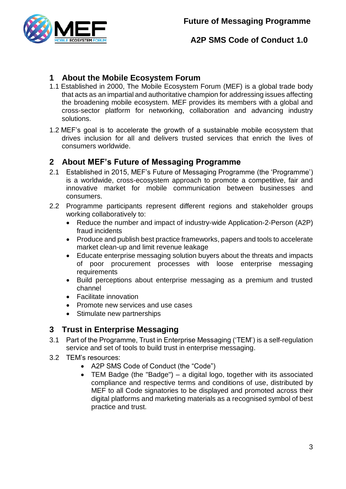

# <span id="page-2-0"></span>**1 About the Mobile Ecosystem Forum**

- 1.1 Established in 2000, The Mobile Ecosystem Forum (MEF) is a global trade body that acts as an impartial and authoritative champion for addressing issues affecting the broadening mobile ecosystem. MEF provides its members with a global and cross-sector platform for networking, collaboration and advancing industry solutions.
- 1.2 MEF's goal is to accelerate the growth of a sustainable mobile ecosystem that drives inclusion for all and delivers trusted services that enrich the lives of consumers worldwide.

### <span id="page-2-1"></span>**2 About MEF's Future of Messaging Programme**

- 2.1 Established in 2015, MEF's Future of Messaging Programme (the 'Programme') is a worldwide, cross-ecosystem approach to promote a competitive, fair and innovative market for mobile communication between businesses and consumers.
- 2.2 Programme participants represent different regions and stakeholder groups working collaboratively to:
	- Reduce the number and impact of industry-wide Application-2-Person (A2P) fraud incidents
	- Produce and publish best practice frameworks, papers and tools to accelerate market clean-up and limit revenue leakage
	- Educate enterprise messaging solution buyers about the threats and impacts of poor procurement processes with loose enterprise messaging requirements
	- Build perceptions about enterprise messaging as a premium and trusted channel
	- Facilitate innovation
	- Promote new services and use cases
	- Stimulate new partnerships

## <span id="page-2-2"></span>**3 Trust in Enterprise Messaging**

- 3.1 Part of the Programme, Trust in Enterprise Messaging ('TEM') is a self-regulation service and set of tools to build trust in enterprise messaging.
- 3.2 TEM's resources:
	- A2P SMS Code of Conduct (the "Code")
	- TEM Badge (the "Badge") a digital logo, together with its associated compliance and respective terms and conditions of use, distributed by MEF to all Code signatories to be displayed and promoted across their digital platforms and marketing materials as a recognised symbol of best practice and trust.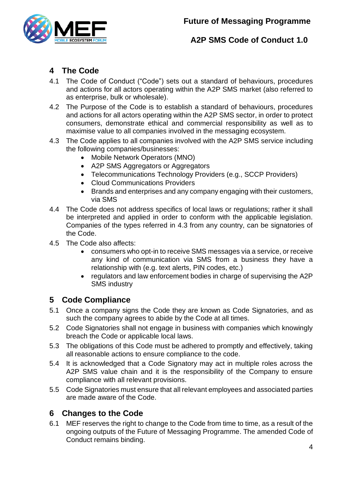

# <span id="page-3-0"></span>**4 The Code**

- 4.1 The Code of Conduct ("Code") sets out a standard of behaviours, procedures and actions for all actors operating within the A2P SMS market (also referred to as enterprise, bulk or wholesale).
- 4.2 The Purpose of the Code is to establish a standard of behaviours, procedures and actions for all actors operating within the A2P SMS sector, in order to protect consumers, demonstrate ethical and commercial responsibility as well as to maximise value to all companies involved in the messaging ecosystem.
- <span id="page-3-3"></span>4.3 The Code applies to all companies involved with the A2P SMS service including the following companies/businesses:
	- Mobile Network Operators (MNO)
	- A2P SMS Aggregators or Aggregators
	- Telecommunications Technology Providers (e.g., SCCP Providers)
	- Cloud Communications Providers
	- Brands and enterprises and any company engaging with their customers, via SMS
- 4.4 The Code does not address specifics of local laws or regulations; rather it shall be interpreted and applied in order to conform with the applicable legislation. Companies of the types referred in [4.3](#page-3-3) from any country, can be signatories of the Code.
- 4.5 The Code also affects:
	- consumers who opt-in to receive SMS messages via a service, or receive any kind of communication via SMS from a business they have a relationship with (e.g. text alerts, PIN codes, etc.)
	- regulators and law enforcement bodies in charge of supervising the A2P SMS industry

# <span id="page-3-1"></span>**5 Code Compliance**

- 5.1 Once a company signs the Code they are known as Code Signatories, and as such the company agrees to abide by the Code at all times.
- 5.2 Code Signatories shall not engage in business with companies which knowingly breach the Code or applicable local laws.
- 5.3 The obligations of this Code must be adhered to promptly and effectively, taking all reasonable actions to ensure compliance to the code.
- 5.4 It is acknowledged that a Code Signatory may act in multiple roles across the A2P SMS value chain and it is the responsibility of the Company to ensure compliance with all relevant provisions.
- 5.5 Code Signatories must ensure that all relevant employees and associated parties are made aware of the Code.

## <span id="page-3-2"></span>**6 Changes to the Code**

6.1 MEF reserves the right to change to the Code from time to time, as a result of the ongoing outputs of the Future of Messaging Programme. The amended Code of Conduct remains binding.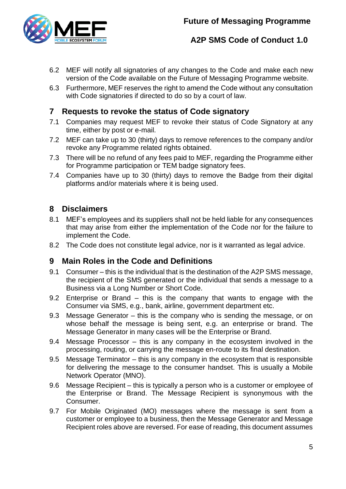

- 6.2 MEF will notify all signatories of any changes to the Code and make each new version of the Code available on the Future of Messaging Programme website.
- 6.3 Furthermore, MEF reserves the right to amend the Code without any consultation with Code signatories if directed to do so by a court of law.

# <span id="page-4-0"></span>**7 Requests to revoke the status of Code signatory**

- 7.1 Companies may request MEF to revoke their status of Code Signatory at any time, either by post or e-mail.
- 7.2 MEF can take up to 30 (thirty) days to remove references to the company and/or revoke any Programme related rights obtained.
- 7.3 There will be no refund of any fees paid to MEF, regarding the Programme either for Programme participation or TEM badge signatory fees.
- 7.4 Companies have up to 30 (thirty) days to remove the Badge from their digital platforms and/or materials where it is being used.

# <span id="page-4-1"></span>**8 Disclaimers**

- 8.1 MEF's employees and its suppliers shall not be held liable for any consequences that may arise from either the implementation of the Code nor for the failure to implement the Code.
- 8.2 The Code does not constitute legal advice, nor is it warranted as legal advice.

## <span id="page-4-2"></span>**9 Main Roles in the Code and Definitions**

- 9.1 Consumer this is the individual that is the destination of the A2P SMS message, the recipient of the SMS generated or the individual that sends a message to a Business via a Long Number or Short Code.
- 9.2 Enterprise or Brand this is the company that wants to engage with the Consumer via SMS, e.g., bank, airline, government department etc.
- 9.3 Message Generator this is the company who is sending the message, or on whose behalf the message is being sent, e.g. an enterprise or brand. The Message Generator in many cases will be the Enterprise or Brand.
- 9.4 Message Processor this is any company in the ecosystem involved in the processing, routing, or carrying the message en-route to its final destination.
- 9.5 Message Terminator this is any company in the ecosystem that is responsible for delivering the message to the consumer handset. This is usually a Mobile Network Operator (MNO).
- 9.6 Message Recipient this is typically a person who is a customer or employee of the Enterprise or Brand. The Message Recipient is synonymous with the Consumer.
- 9.7 For Mobile Originated (MO) messages where the message is sent from a customer or employee to a business, then the Message Generator and Message Recipient roles above are reversed. For ease of reading, this document assumes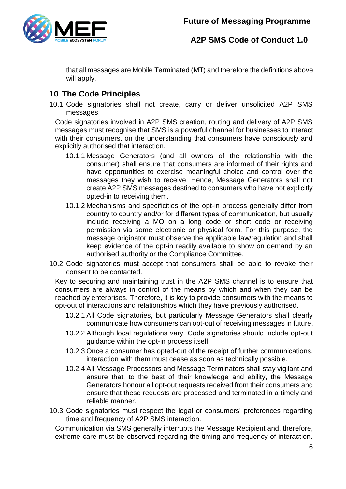

that all messages are Mobile Terminated (MT) and therefore the definitions above will apply.

# <span id="page-5-0"></span>**10 The Code Principles**

10.1 Code signatories shall not create, carry or deliver unsolicited A2P SMS messages.

Code signatories involved in A2P SMS creation, routing and delivery of A2P SMS messages must recognise that SMS is a powerful channel for businesses to interact with their consumers, on the understanding that consumers have consciously and explicitly authorised that interaction.

- 10.1.1 Message Generators (and all owners of the relationship with the consumer) shall ensure that consumers are informed of their rights and have opportunities to exercise meaningful choice and control over the messages they wish to receive. Hence, Message Generators shall not create A2P SMS messages destined to consumers who have not explicitly opted-in to receiving them.
- 10.1.2 Mechanisms and specificities of the opt-in process generally differ from country to country and/or for different types of communication, but usually include receiving a MO on a long code or short code or receiving permission via some electronic or physical form. For this purpose, the message originator must observe the applicable law/regulation and shall keep evidence of the opt-in readily available to show on demand by an authorised authority or the Compliance Committee.
- 10.2 Code signatories must accept that consumers shall be able to revoke their consent to be contacted.

Key to securing and maintaining trust in the A2P SMS channel is to ensure that consumers are always in control of the means by which and when they can be reached by enterprises. Therefore, it is key to provide consumers with the means to opt-out of interactions and relationships which they have previously authorised.

- 10.2.1 All Code signatories, but particularly Message Generators shall clearly communicate how consumers can opt-out of receiving messages in future.
- 10.2.2 Although local regulations vary, Code signatories should include opt-out guidance within the opt-in process itself.
- 10.2.3 Once a consumer has opted-out of the receipt of further communications, interaction with them must cease as soon as technically possible.
- 10.2.4 All Message Processors and Message Terminators shall stay vigilant and ensure that, to the best of their knowledge and ability, the Message Generators honour all opt-out requests received from their consumers and ensure that these requests are processed and terminated in a timely and reliable manner.
- 10.3 Code signatories must respect the legal or consumers' preferences regarding time and frequency of A2P SMS interaction.

Communication via SMS generally interrupts the Message Recipient and, therefore, extreme care must be observed regarding the timing and frequency of interaction.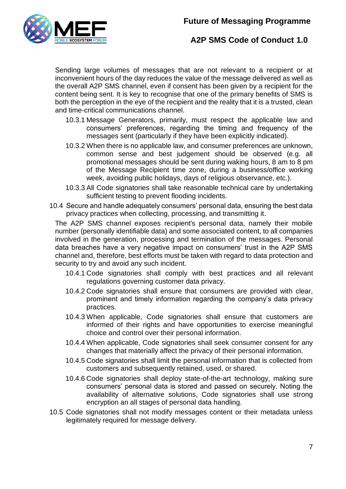# **Future of Messaging Programme**



# **A2P SMS Code of Conduct 1.0**

Sending large volumes of messages that are not relevant to a recipient or at inconvenient hours of the day reduces the value of the message delivered as well as the overall A2P SMS channel, even if consent has been given by a recipient for the content being sent. It is key to recognise that one of the primary benefits of SMS is both the perception in the eye of the recipient and the reality that it is a trusted, clean and time-critical communications channel.

- 10.3.1 Message Generators, primarily, must respect the applicable law and consumers' preferences, regarding the timing and frequency of the messages sent (particularly if they have been explicitly indicated).
- 10.3.2 When there is no applicable law, and consumer preferences are unknown, common sense and best judgement should be observed (e.g. all promotional messages should be sent during waking hours, 8 am to 8 pm of the Message Recipient time zone, during a business/office working week, avoiding public holidays, days of religious observance, etc.).
- 10.3.3 All Code signatories shall take reasonable technical care by undertaking sufficient testing to prevent flooding incidents.
- 10.4 Secure and handle adequately consumers' personal data, ensuring the best data privacy practices when collecting, processing, and transmitting it.

The A2P SMS channel exposes recipient's personal data, namely their mobile number (personally identifiable data) and some associated content, to all companies involved in the generation, processing and termination of the messages. Personal data breaches have a very negative impact on consumers' trust in the A2P SMS channel and, therefore, best efforts must be taken with regard to data protection and security to try and avoid any such incident.

- 10.4.1 Code signatories shall comply with best practices and all relevant regulations governing customer data privacy.
- 10.4.2 Code signatories shall ensure that consumers are provided with clear, prominent and timely information regarding the company's data privacy practices.
- 10.4.3 When applicable, Code signatories shall ensure that customers are informed of their rights and have opportunities to exercise meaningful choice and control over their personal information.
- 10.4.4 When applicable, Code signatories shall seek consumer consent for any changes that materially affect the privacy of their personal information.
- 10.4.5 Code signatories shall limit the personal information that is collected from customers and subsequently retained, used, or shared.
- 10.4.6 Code signatories shall deploy state-of-the-art technology, making sure consumers' personal data is stored and passed on securely. Noting the availability of alternative solutions, Code signatories shall use strong encryption an all stages of personal data handling.
- 10.5 Code signatories shall not modify messages content or their metadata unless legitimately required for message delivery.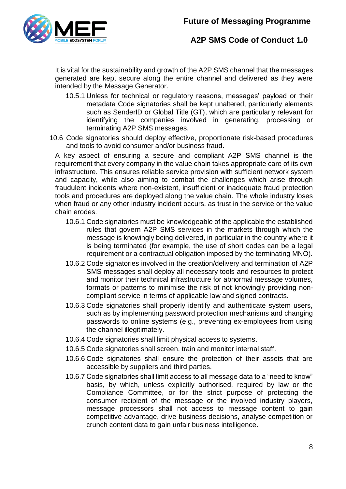

It is vital for the sustainability and growth of the A2P SMS channel that the messages generated are kept secure along the entire channel and delivered as they were intended by the Message Generator.

- 10.5.1 Unless for technical or regulatory reasons, messages' payload or their metadata Code signatories shall be kept unaltered, particularly elements such as SenderID or Global Title (GT), which are particularly relevant for identifying the companies involved in generating, processing or terminating A2P SMS messages.
- 10.6 Code signatories should deploy effective, proportionate risk-based procedures and tools to avoid consumer and/or business fraud.

A key aspect of ensuring a secure and compliant A2P SMS channel is the requirement that every company in the value chain takes appropriate care of its own infrastructure. This ensures reliable service provision with sufficient network system and capacity, while also aiming to combat the challenges which arise through fraudulent incidents where non-existent, insufficient or inadequate fraud protection tools and procedures are deployed along the value chain. The whole industry loses when fraud or any other industry incident occurs, as trust in the service or the value chain erodes.

- 10.6.1 Code signatories must be knowledgeable of the applicable the established rules that govern A2P SMS services in the markets through which the message is knowingly being delivered, in particular in the country where it is being terminated (for example, the use of short codes can be a legal requirement or a contractual obligation imposed by the terminating MNO).
- 10.6.2 Code signatories involved in the creation/delivery and termination of A2P SMS messages shall deploy all necessary tools and resources to protect and monitor their technical infrastructure for abnormal message volumes, formats or patterns to minimise the risk of not knowingly providing noncompliant service in terms of applicable law and signed contracts.
- 10.6.3 Code signatories shall properly identify and authenticate system users, such as by implementing password protection mechanisms and changing passwords to online systems (e.g., preventing ex-employees from using the channel illegitimately.
- 10.6.4 Code signatories shall limit physical access to systems.
- 10.6.5 Code signatories shall screen, train and monitor internal staff.
- 10.6.6 Code signatories shall ensure the protection of their assets that are accessible by suppliers and third parties.
- 10.6.7 Code signatories shall limit access to all message data to a "need to know" basis, by which, unless explicitly authorised, required by law or the Compliance Committee, or for the strict purpose of protecting the consumer recipient of the message or the involved industry players, message processors shall not access to message content to gain competitive advantage, drive business decisions, analyse competition or crunch content data to gain unfair business intelligence.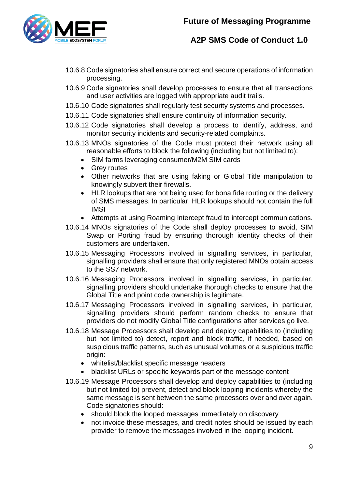

- 10.6.8 Code signatories shall ensure correct and secure operations of information processing.
- 10.6.9 Code signatories shall develop processes to ensure that all transactions and user activities are logged with appropriate audit trails.
- 10.6.10 Code signatories shall regularly test security systems and processes.
- 10.6.11 Code signatories shall ensure continuity of information security.
- 10.6.12 Code signatories shall develop a process to identify, address, and monitor security incidents and security-related complaints.
- 10.6.13 MNOs signatories of the Code must protect their network using all reasonable efforts to block the following (including but not limited to):
	- SIM farms leveraging consumer/M2M SIM cards
	- Grey routes
	- Other networks that are using faking or Global Title manipulation to knowingly subvert their firewalls.
	- HLR lookups that are not being used for bona fide routing or the delivery of SMS messages. In particular, HLR lookups should not contain the full IMSI
	- Attempts at using Roaming Intercept fraud to intercept communications.
- 10.6.14 MNOs signatories of the Code shall deploy processes to avoid, SIM Swap or Porting fraud by ensuring thorough identity checks of their customers are undertaken.
- 10.6.15 Messaging Processors involved in signalling services, in particular, signalling providers shall ensure that only registered MNOs obtain access to the SS7 network.
- 10.6.16 Messaging Processors involved in signalling services, in particular, signalling providers should undertake thorough checks to ensure that the Global Title and point code ownership is legitimate.
- 10.6.17 Messaging Processors involved in signalling services, in particular, signalling providers should perform random checks to ensure that providers do not modify Global Title configurations after services go live.
- 10.6.18 Message Processors shall develop and deploy capabilities to (including but not limited to) detect, report and block traffic, if needed, based on suspicious traffic patterns, such as unusual volumes or a suspicious traffic origin:
	- whitelist/blacklist specific message headers
	- blacklist URLs or specific keywords part of the message content
- 10.6.19 Message Processors shall develop and deploy capabilities to (including but not limited to) prevent, detect and block looping incidents whereby the same message is sent between the same processors over and over again. Code signatories should:
	- should block the looped messages immediately on discovery
	- not invoice these messages, and credit notes should be issued by each provider to remove the messages involved in the looping incident.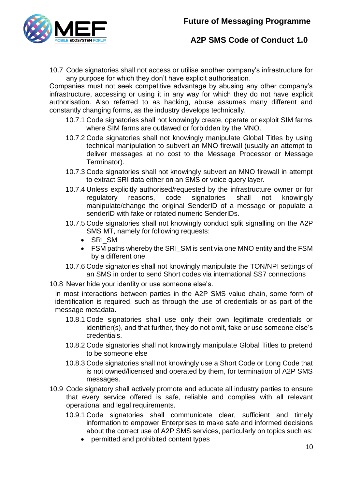

10.7 Code signatories shall not access or utilise another company's infrastructure for any purpose for which they don't have explicit authorisation.

Companies must not seek competitive advantage by abusing any other company's infrastructure, accessing or using it in any way for which they do not have explicit authorisation. Also referred to as hacking, abuse assumes many different and constantly changing forms, as the industry develops technically.

- 10.7.1 Code signatories shall not knowingly create, operate or exploit SIM farms where SIM farms are outlawed or forbidden by the MNO.
- 10.7.2 Code signatories shall not knowingly manipulate Global Titles by using technical manipulation to subvert an MNO firewall (usually an attempt to deliver messages at no cost to the Message Processor or Message Terminator).
- 10.7.3 Code signatories shall not knowingly subvert an MNO firewall in attempt to extract SRI data either on an SMS or voice query layer.
- 10.7.4 Unless explicitly authorised/requested by the infrastructure owner or for regulatory reasons, code signatories shall not knowingly manipulate/change the original SenderID of a message or populate a senderID with fake or rotated numeric SenderIDs.
- 10.7.5 Code signatories shall not knowingly conduct split signalling on the A2P SMS MT, namely for following requests:
	- SRI\_SM
	- FSM paths whereby the SRI\_SM is sent via one MNO entity and the FSM by a different one
- 10.7.6 Code signatories shall not knowingly manipulate the TON/NPI settings of an SMS in order to send Short codes via international SS7 connections
- 10.8 Never hide your identity or use someone else's.

In most interactions between parties in the A2P SMS value chain, some form of identification is required, such as through the use of credentials or as part of the message metadata.

- 10.8.1 Code signatories shall use only their own legitimate credentials or identifier(s), and that further, they do not omit, fake or use someone else's credentials.
- 10.8.2 Code signatories shall not knowingly manipulate Global Titles to pretend to be someone else
- 10.8.3 Code signatories shall not knowingly use a Short Code or Long Code that is not owned/licensed and operated by them, for termination of A2P SMS messages.
- 10.9 Code signatory shall actively promote and educate all industry parties to ensure that every service offered is safe, reliable and complies with all relevant operational and legal requirements.
	- 10.9.1 Code signatories shall communicate clear, sufficient and timely information to empower Enterprises to make safe and informed decisions about the correct use of A2P SMS services, particularly on topics such as:
		- permitted and prohibited content types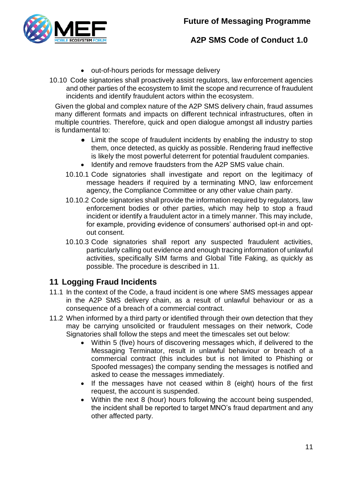

- out-of-hours periods for message delivery
- 10.10 Code signatories shall proactively assist regulators, law enforcement agencies and other parties of the ecosystem to limit the scope and recurrence of fraudulent incidents and identify fraudulent actors within the ecosystem.

Given the global and complex nature of the A2P SMS delivery chain, fraud assumes many different formats and impacts on different technical infrastructures, often in multiple countries. Therefore, quick and open dialogue amongst all industry parties is fundamental to:

- Limit the scope of fraudulent incidents by enabling the industry to stop them, once detected, as quickly as possible. Rendering fraud ineffective is likely the most powerful deterrent for potential fraudulent companies.
- Identify and remove fraudsters from the A2P SMS value chain.
- 10.10.1 Code signatories shall investigate and report on the legitimacy of message headers if required by a terminating MNO, law enforcement agency, the Compliance Committee or any other value chain party.
- 10.10.2 Code signatories shall provide the information required by regulators, law enforcement bodies or other parties, which may help to stop a fraud incident or identify a fraudulent actor in a timely manner. This may include, for example, providing evidence of consumers' authorised opt-in and optout consent.
- 10.10.3 Code signatories shall report any suspected fraudulent activities, particularly calling out evidence and enough tracing information of unlawful activities, specifically SIM farms and Global Title Faking, as quickly as possible. The procedure is described in [11.](#page-10-0)

# <span id="page-10-0"></span>**11 Logging Fraud Incidents**

- 11.1 In the context of the Code, a fraud incident is one where SMS messages appear in the A2P SMS delivery chain, as a result of unlawful behaviour or as a consequence of a breach of a commercial contract.
- 11.2 When informed by a third party or identified through their own detection that they may be carrying unsolicited or fraudulent messages on their network, Code Signatories shall follow the steps and meet the timescales set out below:
	- Within 5 (five) hours of discovering messages which, if delivered to the Messaging Terminator, result in unlawful behaviour or breach of a commercial contract (this includes but is not limited to Phishing or Spoofed messages) the company sending the messages is notified and asked to cease the messages immediately.
	- If the messages have not ceased within 8 (eight) hours of the first request, the account is suspended.
	- Within the next 8 (hour) hours following the account being suspended, the incident shall be reported to target MNO's fraud department and any other affected party.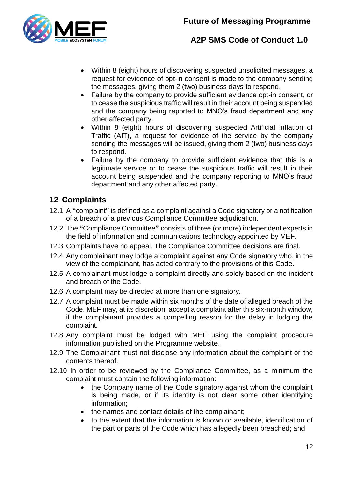

- Within 8 (eight) hours of discovering suspected unsolicited messages, a request for evidence of opt-in consent is made to the company sending the messages, giving them 2 (two) business days to respond.
- Failure by the company to provide sufficient evidence opt-in consent, or to cease the suspicious traffic will result in their account being suspended and the company being reported to MNO's fraud department and any other affected party.
- Within 8 (eight) hours of discovering suspected Artificial Inflation of Traffic (AIT), a request for evidence of the service by the company sending the messages will be issued, giving them 2 (two) business days to respond.
- Failure by the company to provide sufficient evidence that this is a legitimate service or to cease the suspicious traffic will result in their account being suspended and the company reporting to MNO's fraud department and any other affected party.

# <span id="page-11-0"></span>**12 Complaints**

- 12.1 A **"**complaint**"** is defined as a complaint against a Code signatory or a notification of a breach of a previous Compliance Committee adjudication.
- 12.2 The **"**Compliance Committee**"** consists of three (or more) independent experts in the field of information and communications technology appointed by MEF.
- 12.3 Complaints have no appeal. The Compliance Committee decisions are final.
- 12.4 Any complainant may lodge a complaint against any Code signatory who, in the view of the complainant, has acted contrary to the provisions of this Code.
- 12.5 A complainant must lodge a complaint directly and solely based on the incident and breach of the Code.
- 12.6 A complaint may be directed at more than one signatory.
- 12.7 A complaint must be made within six months of the date of alleged breach of the Code. MEF may, at its discretion, accept a complaint after this six-month window, if the complainant provides a compelling reason for the delay in lodging the complaint.
- 12.8 Any complaint must be lodged with MEF using the complaint procedure information published on the Programme website.
- 12.9 The Complainant must not disclose any information about the complaint or the contents thereof.
- 12.10 In order to be reviewed by the Compliance Committee, as a minimum the complaint must contain the following information:
	- the Company name of the Code signatory against whom the complaint is being made, or if its identity is not clear some other identifying information;
	- the names and contact details of the complainant;
	- to the extent that the information is known or available, identification of the part or parts of the Code which has allegedly been breached; and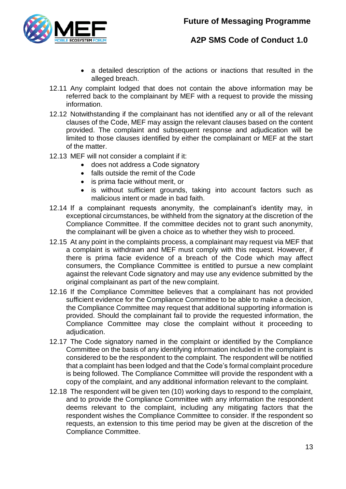

- a detailed description of the actions or inactions that resulted in the alleged breach.
- 12.11 Any complaint lodged that does not contain the above information may be referred back to the complainant by MEF with a request to provide the missing information.
- 12.12 Notwithstanding if the complainant has not identified any or all of the relevant clauses of the Code, MEF may assign the relevant clauses based on the content provided. The complaint and subsequent response and adjudication will be limited to those clauses identified by either the complainant or MEF at the start of the matter.
- 12.13 MEF will not consider a complaint if it:
	- does not address a Code signatory
	- falls outside the remit of the Code
	- is prima facie without merit, or
	- is without sufficient grounds, taking into account factors such as malicious intent or made in bad faith.
- 12.14 If a complainant requests anonymity, the complainant's identity may, in exceptional circumstances, be withheld from the signatory at the discretion of the Compliance Committee. If the committee decides not to grant such anonymity, the complainant will be given a choice as to whether they wish to proceed.
- 12.15 At any point in the complaints process, a complainant may request via MEF that a complaint is withdrawn and MEF must comply with this request. However, if there is prima facie evidence of a breach of the Code which may affect consumers, the Compliance Committee is entitled to pursue a new complaint against the relevant Code signatory and may use any evidence submitted by the original complainant as part of the new complaint.
- 12.16 If the Compliance Committee believes that a complainant has not provided sufficient evidence for the Compliance Committee to be able to make a decision, the Compliance Committee may request that additional supporting information is provided. Should the complainant fail to provide the requested information, the Compliance Committee may close the complaint without it proceeding to adiudication.
- 12.17 The Code signatory named in the complaint or identified by the Compliance Committee on the basis of any identifying information included in the complaint is considered to be the respondent to the complaint. The respondent will be notified that a complaint has been lodged and that the Code's formal complaint procedure is being followed. The Compliance Committee will provide the respondent with a copy of the complaint, and any additional information relevant to the complaint.
- 12.18 The respondent will be given ten (10) working days to respond to the complaint, and to provide the Compliance Committee with any information the respondent deems relevant to the complaint, including any mitigating factors that the respondent wishes the Compliance Committee to consider. If the respondent so requests, an extension to this time period may be given at the discretion of the Compliance Committee.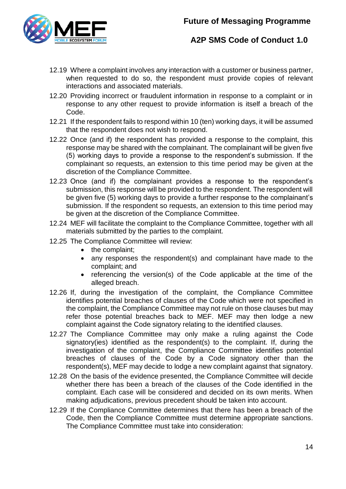

- 12.19 Where a complaint involves any interaction with a customer or business partner, when requested to do so, the respondent must provide copies of relevant interactions and associated materials.
- 12.20 Providing incorrect or fraudulent information in response to a complaint or in response to any other request to provide information is itself a breach of the Code.
- 12.21 If the respondent fails to respond within 10 (ten) working days, it will be assumed that the respondent does not wish to respond.
- 12.22 Once (and if) the respondent has provided a response to the complaint, this response may be shared with the complainant. The complainant will be given five (5) working days to provide a response to the respondent's submission. If the complainant so requests, an extension to this time period may be given at the discretion of the Compliance Committee.
- 12.23 Once (and if) the complainant provides a response to the respondent's submission, this response will be provided to the respondent. The respondent will be given five (5) working days to provide a further response to the complainant's submission. If the respondent so requests, an extension to this time period may be given at the discretion of the Compliance Committee.
- 12.24 MEF will facilitate the complaint to the Compliance Committee, together with all materials submitted by the parties to the complaint.
- 12.25 The Compliance Committee will review:
	- the complaint;
	- any responses the respondent(s) and complainant have made to the complaint; and
	- referencing the version(s) of the Code applicable at the time of the alleged breach.
- 12.26 If, during the investigation of the complaint, the Compliance Committee identifies potential breaches of clauses of the Code which were not specified in the complaint, the Compliance Committee may not rule on those clauses but may refer those potential breaches back to MEF. MEF may then lodge a new complaint against the Code signatory relating to the identified clauses.
- 12.27 The Compliance Committee may only make a ruling against the Code signatory(ies) identified as the respondent(s) to the complaint. If, during the investigation of the complaint, the Compliance Committee identifies potential breaches of clauses of the Code by a Code signatory other than the respondent(s), MEF may decide to lodge a new complaint against that signatory.
- 12.28 On the basis of the evidence presented, the Compliance Committee will decide whether there has been a breach of the clauses of the Code identified in the complaint. Each case will be considered and decided on its own merits. When making adjudications, previous precedent should be taken into account.
- 12.29 If the Compliance Committee determines that there has been a breach of the Code, then the Compliance Committee must determine appropriate sanctions. The Compliance Committee must take into consideration: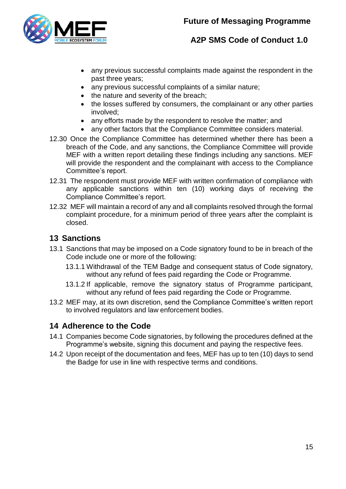

- any previous successful complaints made against the respondent in the past three years;
- any previous successful complaints of a similar nature;
- the nature and severity of the breach;
- the losses suffered by consumers, the complainant or any other parties involved;
- any efforts made by the respondent to resolve the matter; and
- any other factors that the Compliance Committee considers material.
- 12.30 Once the Compliance Committee has determined whether there has been a breach of the Code, and any sanctions, the Compliance Committee will provide MEF with a written report detailing these findings including any sanctions. MEF will provide the respondent and the complainant with access to the Compliance Committee's report.
- 12.31 The respondent must provide MEF with written confirmation of compliance with any applicable sanctions within ten (10) working days of receiving the Compliance Committee's report.
- 12.32 MEF will maintain a record of any and all complaints resolved through the formal complaint procedure, for a minimum period of three years after the complaint is closed.

# <span id="page-14-0"></span>**13 Sanctions**

- 13.1 Sanctions that may be imposed on a Code signatory found to be in breach of the Code include one or more of the following:
	- 13.1.1 Withdrawal of the TEM Badge and consequent status of Code signatory, without any refund of fees paid regarding the Code or Programme.
	- 13.1.2 If applicable, remove the signatory status of Programme participant, without any refund of fees paid regarding the Code or Programme.
- 13.2 MEF may, at its own discretion, send the Compliance Committee's written report to involved regulators and law enforcement bodies.

# <span id="page-14-1"></span>**14 Adherence to the Code**

- 14.1 Companies become Code signatories, by following the procedures defined at the Programme's website, signing this document and paying the respective fees.
- 14.2 Upon receipt of the documentation and fees, MEF has up to ten (10) days to send the Badge for use in line with respective terms and conditions.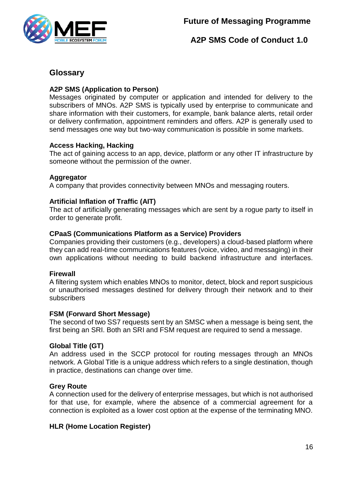

# <span id="page-15-0"></span>**Glossary**

### **A2P SMS (Application to Person)**

Messages originated by computer or application and intended for delivery to the subscribers of MNOs. A2P SMS is typically used by enterprise to communicate and share information with their customers, for example, bank balance alerts, retail order or delivery confirmation, appointment reminders and offers. A2P is generally used to send messages one way but two-way communication is possible in some markets.

### **Access Hacking, Hacking**

The act of gaining access to an app, device, platform or any other IT infrastructure by someone without the permission of the owner.

### **Aggregator**

A company that provides connectivity between MNOs and messaging routers.

### **Artificial Inflation of Traffic (AIT)**

The act of artificially generating messages which are sent by a rogue party to itself in order to generate profit.

### **CPaaS (Communications Platform as a Service) Providers**

Companies providing their customers (e.g., developers) a cloud-based platform where they can add real-time communications features (voice, video, and messaging) in their own applications without needing to build backend infrastructure and interfaces.

### **Firewall**

A filtering system which enables MNOs to monitor, detect, block and report suspicious or unauthorised messages destined for delivery through their network and to their subscribers

### **FSM (Forward Short Message)**

The second of two SS7 requests sent by an SMSC when a message is being sent, the first being an SRI. Both an SRI and FSM request are required to send a message.

### **Global Title (GT)**

An address used in the SCCP protocol for routing messages through an MNOs network. A Global Title is a unique address which refers to a single destination, though in practice, destinations can change over time.

### **Grey Route**

A connection used for the delivery of enterprise messages, but which is not authorised for that use, for example, where the absence of a commercial agreement for a connection is exploited as a lower cost option at the expense of the terminating MNO.

### **HLR (Home Location Register)**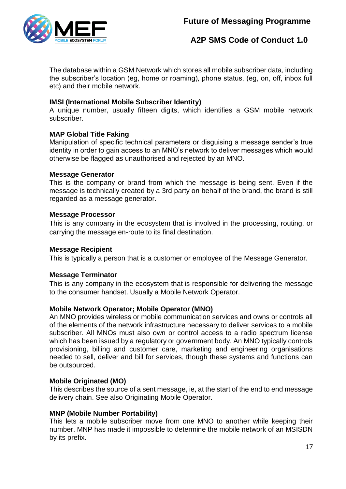# **Future of Messaging Programme**



# **A2P SMS Code of Conduct 1.0**

The database within a GSM Network which stores all mobile subscriber data, including the subscriber's location (eg, home or roaming), phone status, (eg, on, off, inbox full etc) and their mobile network.

### **IMSI (International Mobile Subscriber Identity)**

A unique number, usually fifteen digits, which identifies a GSM mobile network subscriber.

### **MAP Global Title Faking**

Manipulation of specific technical parameters or disguising a message sender's true identity in order to gain access to an MNO's network to deliver messages which would otherwise be flagged as unauthorised and rejected by an MNO.

#### **Message Generator**

This is the company or brand from which the message is being sent. Even if the message is technically created by a 3rd party on behalf of the brand, the brand is still regarded as a message generator.

#### **Message Processor**

This is any company in the ecosystem that is involved in the processing, routing, or carrying the message en-route to its final destination.

#### **Message Recipient**

This is typically a person that is a customer or employee of the Message Generator.

#### **Message Terminator**

This is any company in the ecosystem that is responsible for delivering the message to the consumer handset. Usually a Mobile Network Operator.

#### **Mobile Network Operator; Mobile Operator (MNO)**

An MNO provides wireless or mobile communication services and owns or controls all of the elements of the network infrastructure necessary to deliver services to a mobile subscriber. All MNOs must also own or control access to a radio spectrum license which has been issued by a regulatory or government body. An MNO typically controls provisioning, billing and customer care, marketing and engineering organisations needed to sell, deliver and bill for services, though these systems and functions can be outsourced.

#### **Mobile Originated (MO)**

This describes the source of a sent message, ie, at the start of the end to end message delivery chain. See also Originating Mobile Operator.

#### **MNP (Mobile Number Portability)**

This lets a mobile subscriber move from one MNO to another while keeping their number. MNP has made it impossible to determine the mobile network of an MSISDN by its prefix.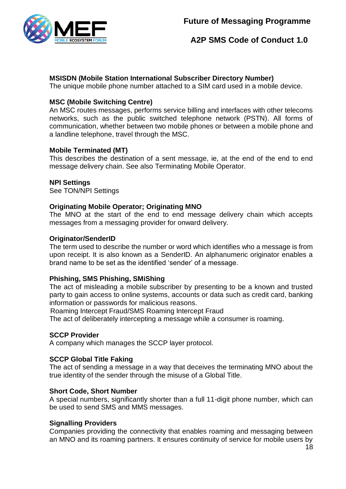

### **MSISDN (Mobile Station International Subscriber Directory Number)**

The unique mobile phone number attached to a SIM card used in a mobile device.

### **MSC (Mobile Switching Centre)**

An MSC routes messages, performs service billing and interfaces with other telecoms networks, such as the public switched telephone network (PSTN). All forms of communication, whether between two mobile phones or between a mobile phone and a landline telephone, travel through the MSC.

### **Mobile Terminated (MT)**

This describes the destination of a sent message, ie, at the end of the end to end message delivery chain. See also Terminating Mobile Operator.

### **NPI Settings**

See TON/NPI Settings

### **Originating Mobile Operator; Originating MNO**

The MNO at the start of the end to end message delivery chain which accepts messages from a messaging provider for onward delivery.

#### **Originator/SenderID**

The term used to describe the number or word which identifies who a message is from upon receipt. It is also known as a SenderID. An alphanumeric originator enables a brand name to be set as the identified 'sender' of a message.

### **Phishing, SMS Phishing, SMiShing**

The act of misleading a mobile subscriber by presenting to be a known and trusted party to gain access to online systems, accounts or data such as credit card, banking information or passwords for malicious reasons.

Roaming Intercept Fraud/SMS Roaming Intercept Fraud

The act of deliberately intercepting a message while a consumer is roaming.

#### **SCCP Provider**

A company which manages the SCCP layer protocol.

#### **SCCP Global Title Faking**

The act of sending a message in a way that deceives the terminating MNO about the true identity of the sender through the misuse of a Global Title.

#### **Short Code, Short Number**

A special numbers, significantly shorter than a full 11-digit phone number, which can be used to send SMS and MMS messages.

#### **Signalling Providers**

Companies providing the connectivity that enables roaming and messaging between an MNO and its roaming partners. It ensures continuity of service for mobile users by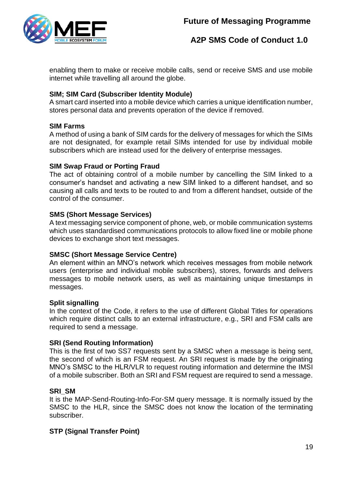

enabling them to make or receive mobile calls, send or receive SMS and use mobile internet while travelling all around the globe.

### **SIM; SIM Card (Subscriber Identity Module)**

A smart card inserted into a mobile device which carries a unique identification number, stores personal data and prevents operation of the device if removed.

### **SIM Farms**

A method of using a bank of SIM cards for the delivery of messages for which the SIMs are not designated, for example retail SIMs intended for use by individual mobile subscribers which are instead used for the delivery of enterprise messages.

### **SIM Swap Fraud or Porting Fraud**

The act of obtaining control of a mobile number by cancelling the SIM linked to a consumer's handset and activating a new SIM linked to a different handset, and so causing all calls and texts to be routed to and from a different handset, outside of the control of the consumer.

### **SMS (Short Message Services)**

A text messaging service component of phone, web, or mobile communication systems which uses standardised communications protocols to allow fixed line or mobile phone devices to exchange short text messages.

### **SMSC (Short Message Service Centre)**

An element within an MNO's network which receives messages from mobile network users (enterprise and individual mobile subscribers), stores, forwards and delivers messages to mobile network users, as well as maintaining unique timestamps in messages.

#### **Split signalling**

In the context of the Code, it refers to the use of different Global Titles for operations which require distinct calls to an external infrastructure, e.g., SRI and FSM calls are required to send a message.

### **SRI (Send Routing Information)**

This is the first of two SS7 requests sent by a SMSC when a message is being sent, the second of which is an FSM request. An SRI request is made by the originating MNO's SMSC to the HLR/VLR to request routing information and determine the IMSI of a mobile subscriber. Both an SRI and FSM request are required to send a message.

#### **SRI\_SM**

It is the MAP-Send-Routing-Info-For-SM query message. It is normally issued by the SMSC to the HLR, since the SMSC does not know the location of the terminating subscriber.

### **STP (Signal Transfer Point)**